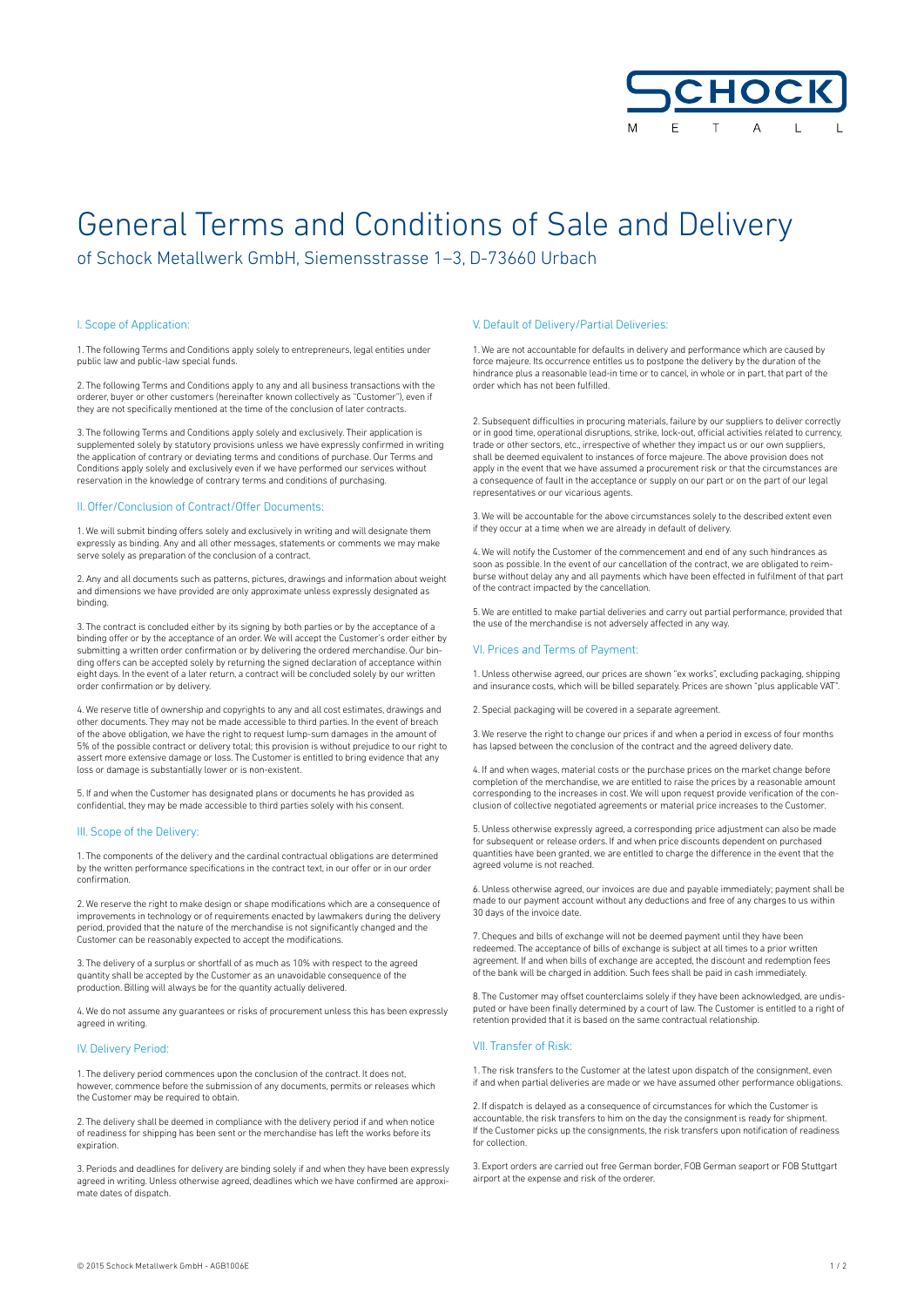

# General Terms and Conditions of Sale and Delivery

of Schock Metallwerk GmbH, Siemensstrasse 1–3, D-73660 Urbach

### I. Scope of Application:

1. The following Terms and Conditions apply solely to entrepreneurs, legal entities under public law and public-law special funds.

2. The following Terms and Conditions apply to any and all business transactions with the orderer, buyer or other customers (hereinafter known collectively as "Customer"), even if they are not specifically mentioned at the time of the conclusion of later contracts.

3. The following Terms and Conditions apply solely and exclusively. Their application is supplemented solely by statutory provisions unless we have expressly confirmed in writing the application of contrary or deviating terms and conditions of purchase. Our Terms and Conditions apply solely and exclusively even if we have performed our services without reservation in the knowledge of contrary terms and conditions of purchasing.

## II. Offer/Conclusion of Contract/Offer Documents:

1. We will submit binding offers solely and exclusively in writing and will designate them expressly as binding. Any and all other messages, statements or comments we may make serve solely as preparation of the conclusion of a contract.

2. Any and all documents such as patterns, pictures, drawings and information about weight and dimensions we have provided are only approximate unless expressly designated as binding.

3. The contract is concluded either by its signing by both parties or by the acceptance of a binding offer or by the acceptance of an order. We will accept the Customer's order either by submitting a written order confirmation or by delivering the ordered merchandise. Our binding offers can be accepted solely by returning the signed declaration of acceptance within eight days. In the event of a later return, a contract will be concluded solely by our written order confirmation or by delivery.

4. We reserve title of ownership and copyrights to any and all cost estimates, drawings and other documents. They may not be made accessible to third parties. In the event of breach of the above obligation, we have the right to request lump-sum damages in the amount of 5% of the possible contract or delivery total; this provision is without prejudice to our right to assert more extensive damage or loss. The Customer is entitled to bring evidence that any loss or damage is substantially lower or is non-existent.

5. If and when the Customer has designated plans or documents he has provided as confidential, they may be made accessible to third parties solely with his consent.

#### III. Scope of the Delivery:

1. The components of the delivery and the cardinal contractual obligations are determined by the written performance specifications in the contract text, in our offer or in our order confirmation.

2. We reserve the right to make design or shape modifications which are a consequence of improvements in technology or of requirements enacted by lawmakers during the delivery period, provided that the nature of the merchandise is not significantly changed and the Customer can be reasonably expected to accept the modifications.

3. The delivery of a surplus or shortfall of as much as 10% with respect to the agreed quantity shall be accepted by the Customer as an unavoidable consequence of the production. Billing will always be for the quantity actually delivered.

4. We do not assume any guarantees or risks of procurement unless this has been expressly agreed in writing.

# IV. Delivery Period:

1. The delivery period commences upon the conclusion of the contract. It does not, however, commence before the submission of any documents, permits or releases which the Customer may be required to obtain.

2. The delivery shall be deemed in compliance with the delivery period if and when notice of readiness for shipping has been sent or the merchandise has left the works before its expiration.

3. Periods and deadlines for delivery are binding solely if and when they have been expressly agreed in writing. Unless otherwise agreed, deadlines which we have confirmed are approximate dates of dispatch.

#### V. Default of Delivery/Partial Deliveries:

1. We are not accountable for defaults in delivery and performance which are caused by force majeure. Its occurrence entitles us to postpone the delivery by the duration of the hindrance plus a reasonable lead-in time or to cancel, in whole or in part, that part of the order which has not been fulfilled.

2. Subsequent difficulties in procuring materials, failure by our suppliers to deliver correctly or in good time, operational disruptions, strike, lock-out, official activities related to currency, trade or other sectors, etc., irrespective of whether they impact us or our own suppliers, shall be deemed equivalent to instances of force majeure. The above provision does not apply in the event that we have assumed a procurement risk or that the circumstances are a consequence of fault in the acceptance or supply on our part or on the part of our legal representatives or our vicarious agents.

3. We will be accountable for the above circumstances solely to the described extent even if they occur at a time when we are already in default of delivery.

4. We will notify the Customer of the commencement and end of any such hindrances as soon as possible. In the event of our cancellation of the contract, we are obligated to reimburse without delay any and all payments which have been effected in fulfilment of that part of the contract impacted by the cancellation.

5. We are entitled to make partial deliveries and carry out partial performance, provided that the use of the merchandise is not adversely affected in any way.

# VI. Prices and Terms of Payment:

1. Unless otherwise agreed, our prices are shown "ex works", excluding packaging, shipping and insurance costs, which will be billed separately. Prices are shown "plus applicable VAT".

2. Special packaging will be covered in a separate agreement.

3. We reserve the right to change our prices if and when a period in excess of four months has lapsed between the conclusion of the contract and the agreed delivery date.

4. If and when wages, material costs or the purchase prices on the market change before completion of the merchandise, we are entitled to raise the prices by a reasonable amount corresponding to the increases in cost. We will upon request provide verification of the conclusion of collective negotiated agreements or material price increases to the Customer.

5. Unless otherwise expressly agreed, a corresponding price adjustment can also be made for subsequent or release orders. If and when price discounts dependent on purchased quantities have been granted, we are entitled to charge the difference in the event that the agreed volume is not reached.

6. Unless otherwise agreed, our invoices are due and payable immediately; payment shall be made to our payment account without any deductions and free of any charges to us within 30 days of the invoice date.

7. Cheques and bills of exchange will not be deemed payment until they have been redeemed. The acceptance of bills of exchange is subject at all times to a prior written agreement. If and when bills of exchange are accepted, the discount and redemption fees of the bank will be charged in addition. Such fees shall be paid in cash immediately.

8. The Customer may offset counterclaims solely if they have been acknowledged, are undisputed or have been finally determined by a court of law. The Customer is entitled to a right of retention provided that it is based on the same contractual relationship.

#### VII. Transfer of Risk:

1. The risk transfers to the Customer at the latest upon dispatch of the consignment, even if and when partial deliveries are made or we have assumed other performance obligations.

2. If dispatch is delayed as a consequence of circumstances for which the Customer is accountable, the risk transfers to him on the day the consignment is ready for shipment. If the Customer picks up the consignments, the risk transfers upon notification of readiness for collection.

3. Export orders are carried out free German border, FOB German seaport or FOB Stuttgart airport at the expense and risk of the orderer.